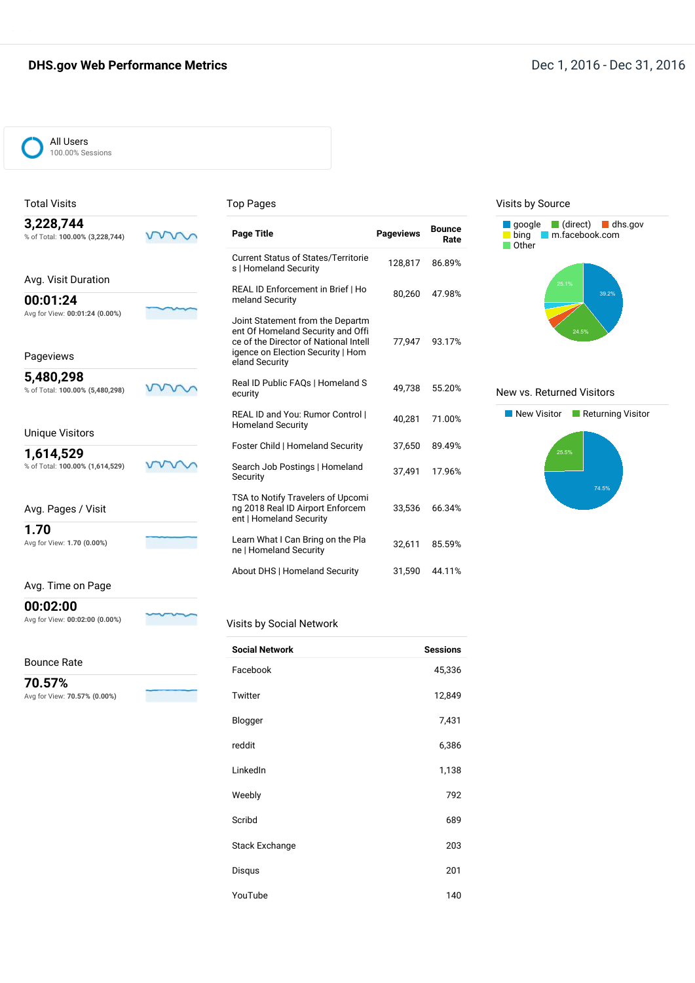# **DHS.gov Web Performance Metrics DHS.gov Web Performance Metrics Dec 1, 2016 - Dec 31, 2016**



Total Visits

#### Top Pages

| 3,228,744<br>% of Total: 100.00% (3,228,744) | <b>Page Title</b>                                                                                                                                                     | <b>Pageviews</b> | <b>Bounce</b><br>Rate |
|----------------------------------------------|-----------------------------------------------------------------------------------------------------------------------------------------------------------------------|------------------|-----------------------|
|                                              | <b>Current Status of States/Territorie</b><br>s   Homeland Security                                                                                                   | 128,817          | 86.89%                |
| Avg. Visit Duration                          | REAL ID Enforcement in Brief   Ho                                                                                                                                     |                  |                       |
| 00:01:24<br>Avg for View: 00:01:24 (0.00%)   | meland Security                                                                                                                                                       | 80.260           | 47.98%                |
| Pageviews                                    | Joint Statement from the Departm<br>ent Of Homeland Security and Offi<br>ce of the Director of National Intell<br>igence on Election Security   Hom<br>eland Security | 77.947           | 93.17%                |
| 5,480,298<br>% of Total: 100.00% (5,480,298) | Real ID Public FAQs   Homeland S<br>ecurity                                                                                                                           | 49,738           | 55.20%                |
| <b>Unique Visitors</b>                       | REAL ID and You: Rumor Control  <br><b>Homeland Security</b>                                                                                                          | 40,281           | 71.00%                |
|                                              | Foster Child   Homeland Security                                                                                                                                      | 37,650           | 89.49%                |
| 1,614,529                                    |                                                                                                                                                                       |                  |                       |
| % of Total: 100.00% (1,614,529)              | Search Job Postings   Homeland<br>Security                                                                                                                            | 37,491           | 17.96%                |
| Avg. Pages / Visit                           | TSA to Notify Travelers of Upcomi<br>ng 2018 Real ID Airport Enforcem<br>ent   Homeland Security                                                                      | 33.536           | 66.34%                |
| 1.70                                         |                                                                                                                                                                       |                  |                       |
| Avg for View: 1.70 (0.00%)                   | Learn What I Can Bring on the Pla<br>ne   Homeland Security                                                                                                           | 32,611           | 85.59%                |
|                                              | About DHS   Homeland Security                                                                                                                                         | 31,590           | 44.11%                |

#### Avg. Time on Page

**00:02:00** Avg for View: **00:02:00 (0.00%)**

# Visits by Social Network

| <b>Bounce Rate</b> |
|--------------------|
|--------------------|

**70.57%** Avg for View: **70.57% (0.00%)**

| <b>Social Network</b> | <b>Sessions</b> |
|-----------------------|-----------------|
| Facebook              | 45,336          |
| Twitter               | 12,849          |
| Blogger               | 7,431           |
| reddit                | 6,386           |
| LinkedIn              | 1,138           |
| Weebly                | 792             |
| Scribd                | 689             |
| <b>Stack Exchange</b> | 203             |
| Disqus                | 201             |
| YouTube               | 140             |

#### Visits by Source



#### New vs. Returned Visitors

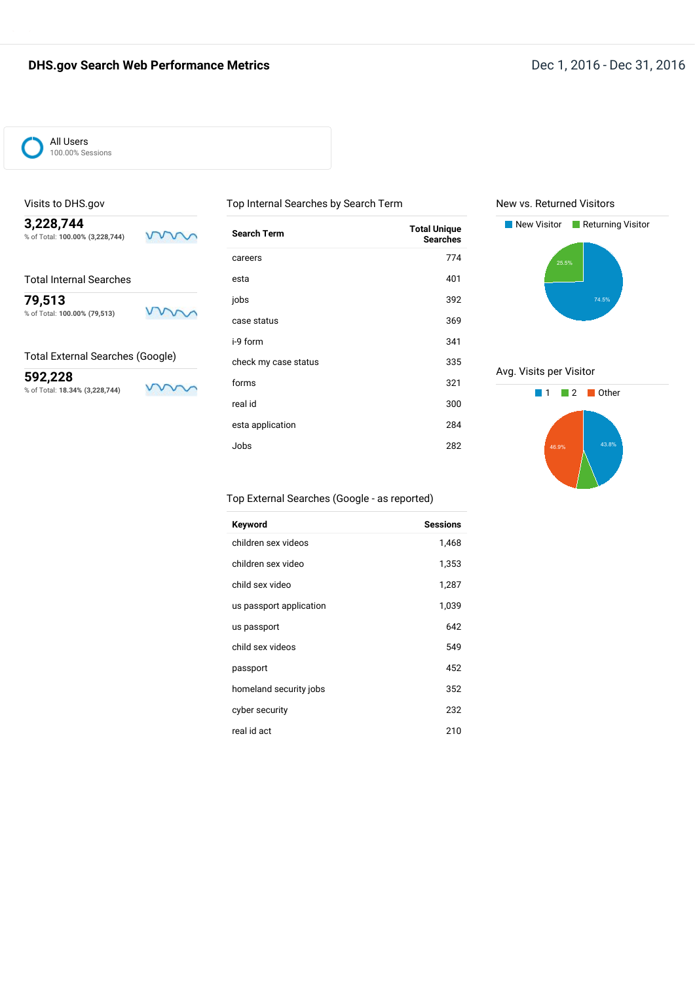

### Visits to DHS.gov

**3,228,744** % of Total: **100.00% (3,228,744)**

| <b>Total Internal Searches</b> |  |
|--------------------------------|--|
|                                |  |

**79,513** % of Total: **100.00% (79,513)**

Total External Searches (Google)

**592,228** % of Total: **18.34% (3,228,744)**

 $\sqrt{}$ v

mm

mm

| Top Internal Searches by Search Term |                                        |
|--------------------------------------|----------------------------------------|
| <b>Search Term</b>                   | <b>Total Unique</b><br><b>Searches</b> |
| careers                              | 774                                    |
| esta                                 | 401                                    |
| jobs                                 | 392                                    |
| case status                          | 369                                    |
| i-9 form                             | 341                                    |
| check my case status                 | 335                                    |
| forms                                | 321                                    |
| real id                              | 300                                    |
| esta application                     | 284                                    |
| Jobs                                 | 282                                    |





Avg. Visits per Visitor



#### Top External Searches (Google - as reported)

| Keyword                 | <b>Sessions</b> |
|-------------------------|-----------------|
| children sex videos     | 1,468           |
| children sex video      | 1,353           |
| child sex video         | 1,287           |
| us passport application | 1,039           |
| us passport             | 642             |
| child sex videos        | 549             |
| passport                | 452             |
| homeland security jobs  | 352             |
| cyber security          | 232             |
| real id act             | 210             |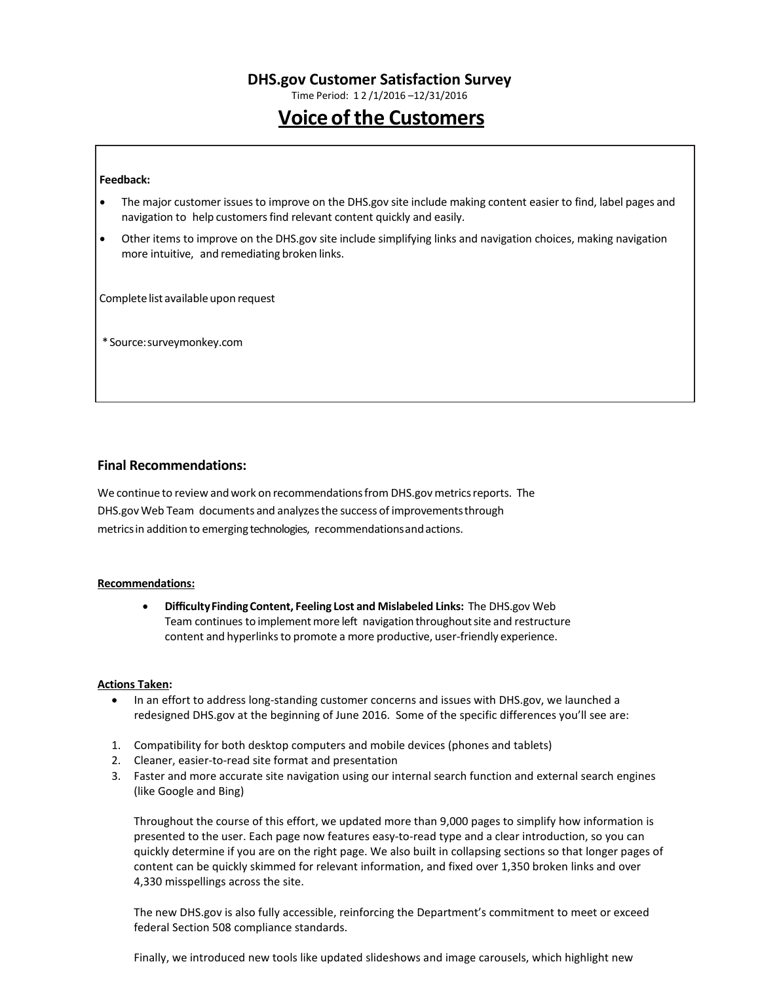Time Period: 1 2 /1/2016 –12/31/2016

# **Voice of the Customers**

#### **Feedback:**

- The major customer issuesto improve on the DHS.gov site include making content easier to find, label pages and navigation to help customers find relevant content quickly and easily.
- Other items to improve on the DHS.gov site include simplifying links and navigation choices, making navigation more intuitive, and remediating broken links.

Complete list available upon request

\*Source:surveymonkey.com

#### **Final Recommendations:**

We continue to review and work on recommendations from DHS.gov metrics reports. The DHS.gov Web Team documents and analyzesthe success of improvementsthrough metricsin addition to emerging technologies, recommendationsandactions.

#### **Recommendations:**

• **DifficultyFindingContent, Feeling Lost and Mislabeled Links:** The DHS.gov Web Team continues to implement more left navigation throughout site and restructure content and hyperlinks to promote a more productive, user-friendly experience.

#### **Actions Taken:**

- In an effort to address long-standing customer concerns and issues with DHS.gov, we launched a redesigned DHS.gov at the beginning of June 2016. Some of the specific differences you'll see are:
- 1. Compatibility for both desktop computers and mobile devices (phones and tablets)
- 2. Cleaner, easier-to-read site format and presentation
- 3. Faster and more accurate site navigation using our internal search function and external search engines (like Google and Bing)

Throughout the course of this effort, we updated more than 9,000 pages to simplify how information is presented to the user. Each page now features easy-to-read type and a clear introduction, so you can quickly determine if you are on the right page. We also built in collapsing sections so that longer pages of content can be quickly skimmed for relevant information, and fixed over 1,350 broken links and over 4,330 misspellings across the site.

The new DHS.gov is also fully accessible, reinforcing the Department's commitment to meet or exceed federal Section 508 compliance standards.

Finally, we introduced new tools like updated slideshows and image carousels, which highlight new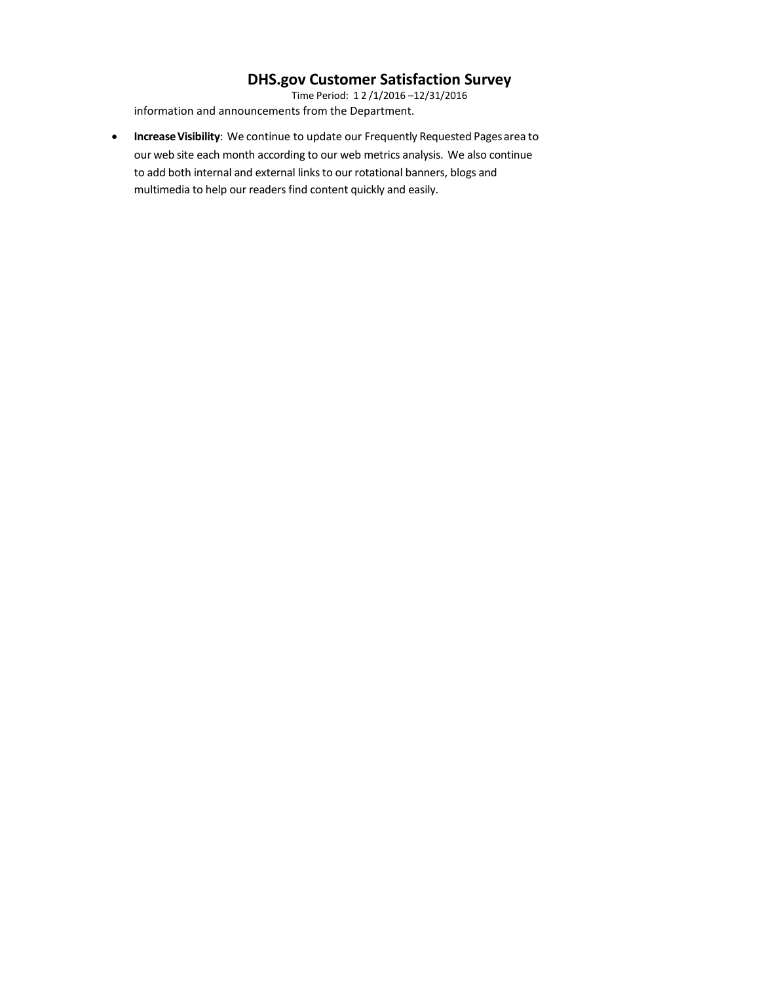Time Period: 1 2 /1/2016 –12/31/2016 information and announcements from the Department.

• **IncreaseVisibility**: We continue to update our Frequently Requested Pagesarea to our web site each month according to our web metrics analysis. We also continue to add both internal and external links to our rotational banners, blogs and multimedia to help our readers find content quickly and easily.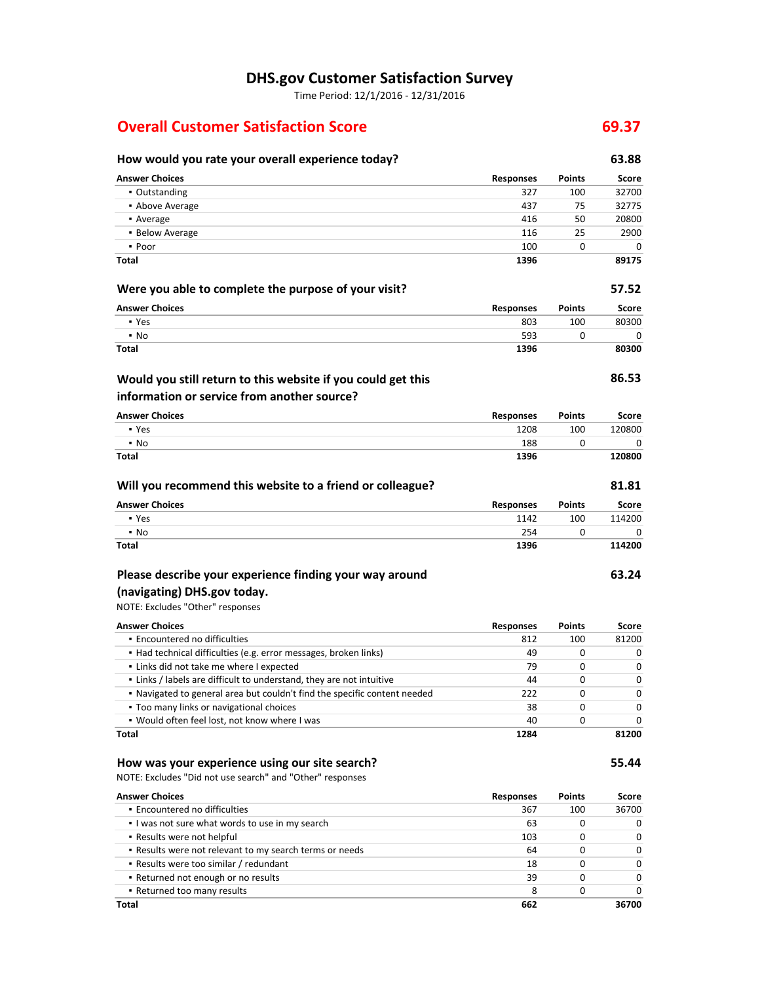Time Period: 12/1/2016 - 12/31/2016

# **Overall Customer Satisfaction Score 69.37**

## **How would you rate your overall experience today? 63.88 Answer Choices Responses Points Score** ▪ Outstanding 327 100 32700 **• Above Average 120 and 2012 12:00 and 2013 12:00 and 2013 12:00 and 2013 12:00 and 2013 12:00 and 2013 12:00 and 2013 12:00 and 2013 12:00 and 2013 12:00 and 2013 12:00 and 2013 12:00 and 2013 12:00 and 2013 12:00 and 20 •** Average 20800 **20800 416** 50 20800 **416** 50 20800 **416** 50 20800 **416** 50 20800 **416** 50 20800 **416** 50 20800 **416** 50 20800 **416** 50 20800 **416** 50 20800 **416** 50 20800 **416** 50 20800 **416** 50 20800 **416** 50 416 50 ▪ Below Average 116 25 2900  $\bullet$  Poor  $\qquad \qquad 100$  0 0 0 **Total 1396 89175 Were you able to complete the purpose of your visit? 57.52 Answer Choices Responses Points Score** ▪ Yes 803 100 80300  $\bullet$  No  $\bullet$  0 0 0  $\bullet$  0 0 0  $\bullet$  593 0 0 0 0  $\bullet$ **Total 1396 80300 86.53 Answer Choices Responses Points Score** ▪ Yes 1208 100 120800 ▪ No 188 0 0 **Total 1396 120800 Will you recommend this website to a friend or colleague? 81.81 Answer Choices Responses Points Score** ▪ Yes 1142 100 114200  $\bullet$  No  $\bullet$  254 0 0 0 **Total 1396 114200 63.24** NOTE: Excludes "Other" responses **Answer Choices Responses Points Score** ▪ Encountered no difficulties 812 100 81200 ▪ Had technical difficulties (e.g. error messages, broken links) 49 0 0 ▪ Links did not take me where I expected 79 0 0 ▪ Links / labels are difficult to understand, they are not intuitive 44 0 0 **Would you still return to this website if you could get this information or service from another source? Please describe your experience finding your way around (navigating) DHS.gov today.**

▪ Navigated to general area but couldn't find the specific content needed 222 0 0 ▪ Too many links or navigational choices 38 0 0 ▪ Would often feel lost, not know where I was 40 0 0 **Total 1284 81200**

#### **How was your experience using our site search? 55.44**

NOTE: Excludes "Did not use search" and "Other" responses

| <b>Answer Choices</b>                                   | <b>Responses</b> | <b>Points</b> | Score        |
|---------------------------------------------------------|------------------|---------------|--------------|
| • Encountered no difficulties                           | 367              | 100           | 36700        |
| I was not sure what words to use in my search           | 63               | O             | <sup>0</sup> |
| • Results were not helpful                              | 103              | ŋ             | <sup>0</sup> |
| . Results were not relevant to my search terms or needs | 64               |               | <sup>0</sup> |
| • Results were too similar / redundant                  | 18               | O             | $\Omega$     |
| • Returned not enough or no results                     | 39               | ŋ             | <sup>0</sup> |
| • Returned too many results                             | 8                | 0             | <sup>0</sup> |
| Total                                                   | 662              |               | 36700        |